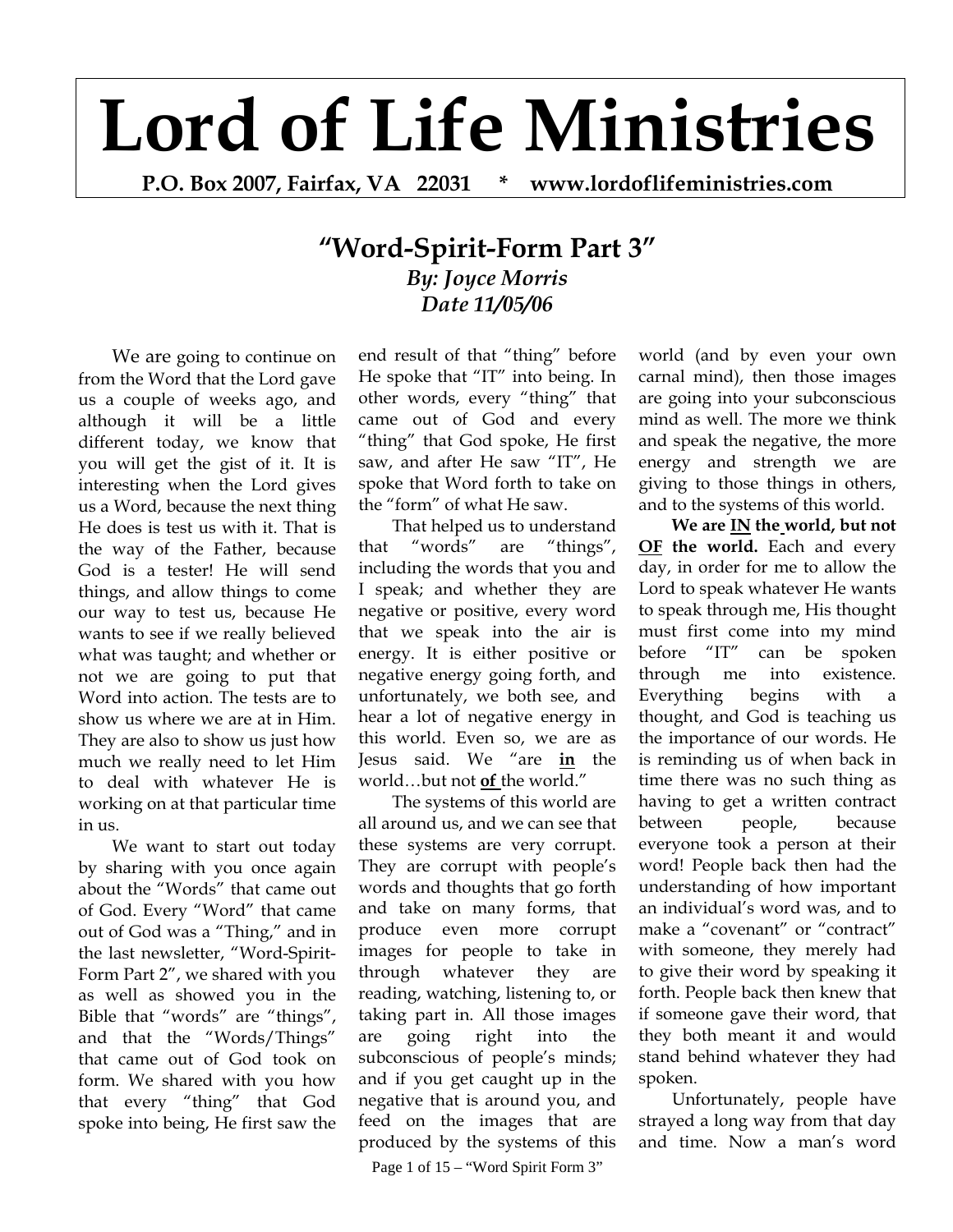## **Lord of Life Ministries**

**P.O. Box 2007, Fairfax, VA 22031 \* www.lordoflifeministries.com** 

## **"Word-Spirit-Form Part 3"** *By: Joyce Morris Date 11/05/06*

 We are going to continue on from the Word that the Lord gave us a couple of weeks ago, and although it will be a little different today, we know that you will get the gist of it. It is interesting when the Lord gives us a Word, because the next thing He does is test us with it. That is the way of the Father, because God is a tester! He will send things, and allow things to come our way to test us, because He wants to see if we really believed what was taught; and whether or not we are going to put that Word into action. The tests are to show us where we are at in Him. They are also to show us just how much we really need to let Him to deal with whatever He is working on at that particular time in us.

We want to start out today by sharing with you once again about the "Words" that came out of God. Every "Word" that came out of God was a "Thing," and in the last newsletter, "Word-Spirit-Form Part 2", we shared with you as well as showed you in the Bible that "words" are "things", and that the "Words/Things" that came out of God took on form. We shared with you how that every "thing" that God spoke into being, He first saw the

end result of that "thing" before He spoke that "IT" into being. In other words, every "thing" that came out of God and every "thing" that God spoke, He first saw, and after He saw "IT", He spoke that Word forth to take on the "form" of what He saw.

That helped us to understand that "words" are "things", including the words that you and I speak; and whether they are negative or positive, every word that we speak into the air is energy. It is either positive or negative energy going forth, and unfortunately, we both see, and hear a lot of negative energy in this world. Even so, we are as Jesus said. We "are **in** the world…but not **of** the world."

The systems of this world are all around us, and we can see that these systems are very corrupt. They are corrupt with people's words and thoughts that go forth and take on many forms, that produce even more corrupt images for people to take in through whatever they are reading, watching, listening to, or taking part in. All those images are going right into the subconscious of people's minds; and if you get caught up in the negative that is around you, and feed on the images that are produced by the systems of this world (and by even your own carnal mind), then those images are going into your subconscious mind as well. The more we think and speak the negative, the more energy and strength we are giving to those things in others, and to the systems of this world.

**We are IN the world, but not OF the world.** Each and every day, in order for me to allow the Lord to speak whatever He wants to speak through me, His thought must first come into my mind before "IT" can be spoken through me into existence. Everything begins with a thought, and God is teaching us the importance of our words. He is reminding us of when back in time there was no such thing as having to get a written contract between people, because everyone took a person at their word! People back then had the understanding of how important an individual's word was, and to make a "covenant" or "contract" with someone, they merely had to give their word by speaking it forth. People back then knew that if someone gave their word, that they both meant it and would stand behind whatever they had spoken.

Unfortunately, people have strayed a long way from that day and time. Now a man's word

Page 1 of 15 – "Word Spirit Form 3"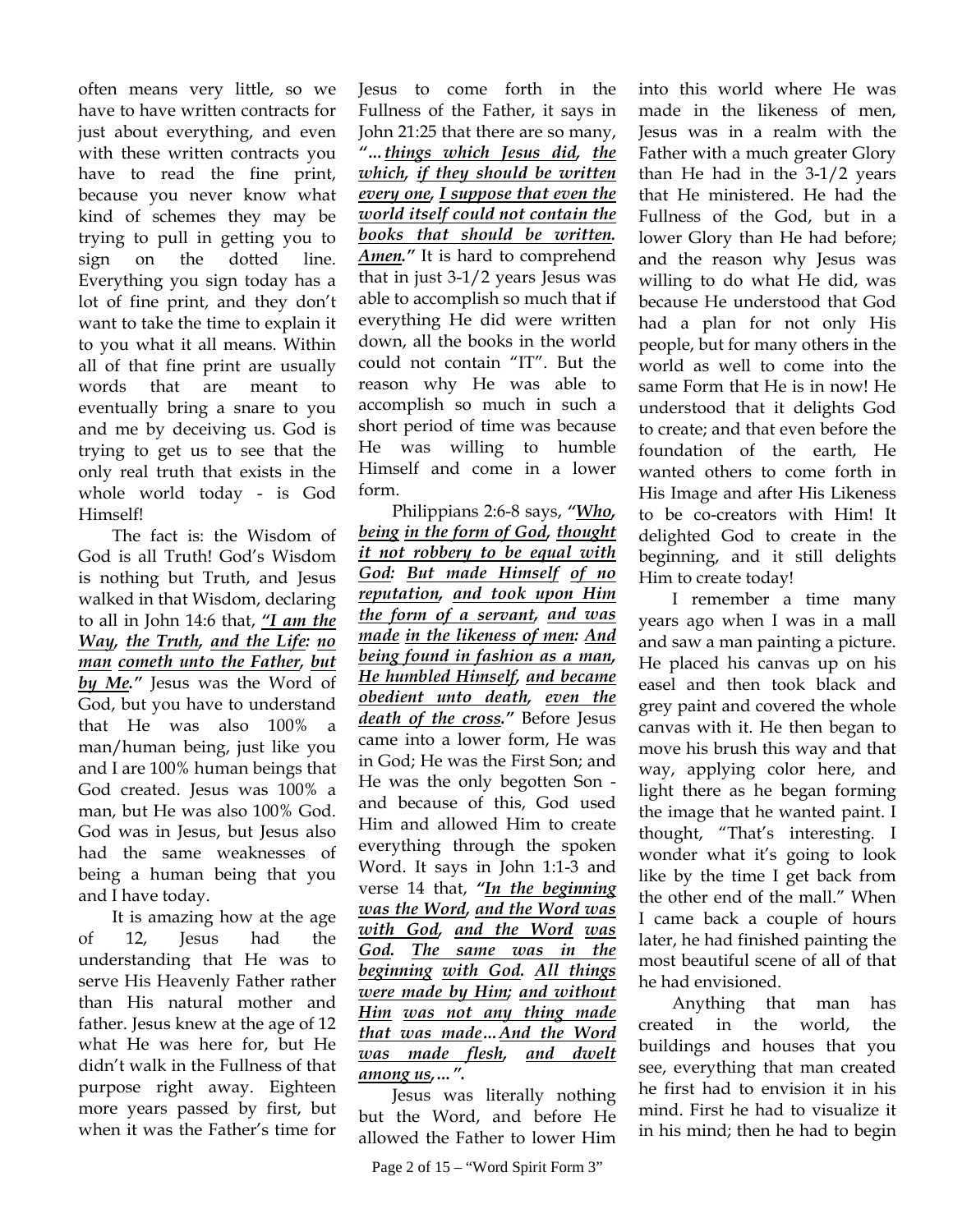often means very little, so we have to have written contracts for just about everything, and even with these written contracts you have to read the fine print, because you never know what kind of schemes they may be trying to pull in getting you to sign on the dotted line. Everything you sign today has a lot of fine print, and they don't want to take the time to explain it to you what it all means. Within all of that fine print are usually words that are meant to eventually bring a snare to you and me by deceiving us. God is trying to get us to see that the only real truth that exists in the whole world today - is God Himself!

The fact is: the Wisdom of God is all Truth! God's Wisdom is nothing but Truth, and Jesus walked in that Wisdom, declaring to all in John 14:6 that, *"I am the Way, the Truth, and the Life: no man cometh unto the Father, but by Me."* Jesus was the Word of God, but you have to understand that He was also  $100\%$ man/human being, just like you and I are 100% human beings that God created. Jesus was 100% a man, but He was also 100% God. God was in Jesus, but Jesus also had the same weaknesses of being a human being that you and I have today.

It is amazing how at the age of 12, Jesus had the understanding that He was to serve His Heavenly Father rather than His natural mother and father. Jesus knew at the age of 12 what He was here for, but He didn't walk in the Fullness of that purpose right away. Eighteen more years passed by first, but when it was the Father's time for

Jesus to come forth in the Fullness of the Father, it says in John 21:25 that there are so many, *"…things which Jesus did, the which, if they should be written every one, I suppose that even the world itself could not contain the books that should be written. Amen."* It is hard to comprehend that in just 3-1/2 years Jesus was able to accomplish so much that if everything He did were written down, all the books in the world could not contain "IT". But the reason why He was able to accomplish so much in such a short period of time was because He was willing to humble Himself and come in a lower form.

Philippians 2:6-8 says, *"Who, being in the form of God, thought it not robbery to be equal with God: But made Himself of no reputation, and took upon Him the form of a servant, and was made in the likeness of men: And being found in fashion as a man, He humbled Himself, and became obedient unto death, even the death of the cross."* Before Jesus came into a lower form, He was in God; He was the First Son; and He was the only begotten Son and because of this, God used Him and allowed Him to create everything through the spoken Word. It says in John 1:1-3 and verse 14 that, *"In the beginning was the Word, and the Word was with God, and the Word was God. The same was in the beginning with God. All things were made by Him; and without Him was not any thing made that was made…And the Word was made flesh, and dwelt among us,…".* 

Jesus was literally nothing but the Word, and before He allowed the Father to lower Him

into this world where He was made in the likeness of men, Jesus was in a realm with the Father with a much greater Glory than He had in the 3-1/2 years that He ministered. He had the Fullness of the God, but in a lower Glory than He had before; and the reason why Jesus was willing to do what He did, was because He understood that God had a plan for not only His people, but for many others in the world as well to come into the same Form that He is in now! He understood that it delights God to create; and that even before the foundation of the earth, He wanted others to come forth in His Image and after His Likeness to be co-creators with Him! It delighted God to create in the beginning, and it still delights Him to create today!

I remember a time many years ago when I was in a mall and saw a man painting a picture. He placed his canvas up on his easel and then took black and grey paint and covered the whole canvas with it. He then began to move his brush this way and that way, applying color here, and light there as he began forming the image that he wanted paint. I thought, "That's interesting. I wonder what it's going to look like by the time I get back from the other end of the mall." When I came back a couple of hours later, he had finished painting the most beautiful scene of all of that he had envisioned.

Anything that man has created in the world, the buildings and houses that you see, everything that man created he first had to envision it in his mind. First he had to visualize it in his mind; then he had to begin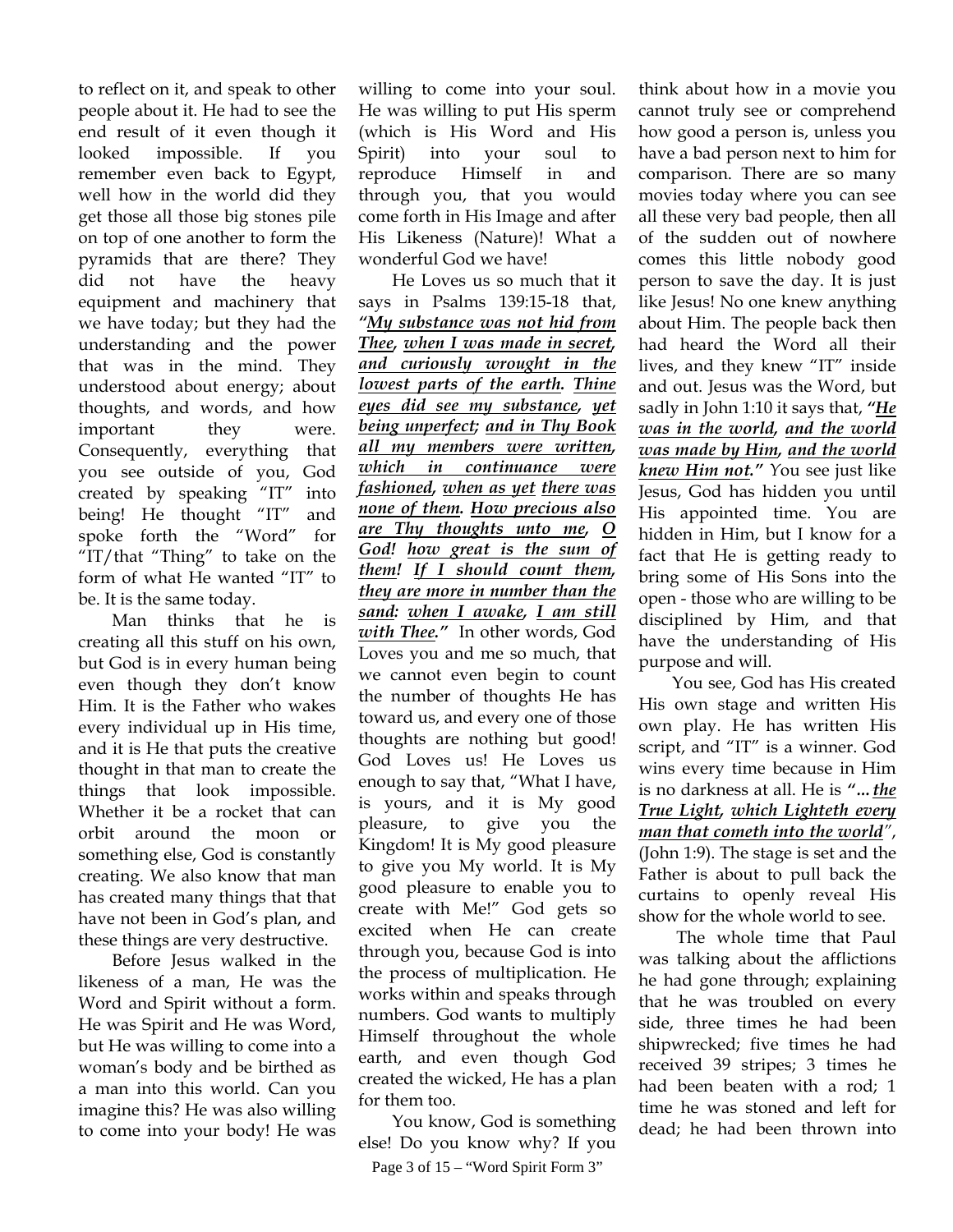to reflect on it, and speak to other people about it. He had to see the end result of it even though it looked impossible. If you remember even back to Egypt, well how in the world did they get those all those big stones pile on top of one another to form the pyramids that are there? They did not have the heavy equipment and machinery that we have today; but they had the understanding and the power that was in the mind. They understood about energy; about thoughts, and words, and how important they were. Consequently, everything that you see outside of you, God created by speaking "IT" into being! He thought "IT" and spoke forth the "Word" for "IT/that "Thing" to take on the form of what He wanted "IT" to be. It is the same today.

Man thinks that he is creating all this stuff on his own, but God is in every human being even though they don't know Him. It is the Father who wakes every individual up in His time, and it is He that puts the creative thought in that man to create the things that look impossible. Whether it be a rocket that can orbit around the moon or something else, God is constantly creating. We also know that man has created many things that that have not been in God's plan, and these things are very destructive.

Before Jesus walked in the likeness of a man, He was the Word and Spirit without a form. He was Spirit and He was Word, but He was willing to come into a woman's body and be birthed as a man into this world. Can you imagine this? He was also willing to come into your body! He was

willing to come into your soul. He was willing to put His sperm (which is His Word and His Spirit) into your soul to reproduce Himself in and through you, that you would come forth in His Image and after His Likeness (Nature)! What a wonderful God we have!

He Loves us so much that it says in Psalms 139:15-18 that, *"My substance was not hid from Thee, when I was made in secret, and curiously wrought in the lowest parts of the earth. Thine eyes did see my substance, yet being unperfect; and in Thy Book all my members were written, which in continuance were fashioned, when as yet there was none of them. How precious also are Thy thoughts unto me, O God! how great is the sum of them! If I should count them, they are more in number than the sand: when I awake, I am still with Thee."* In other words, God Loves you and me so much, that we cannot even begin to count the number of thoughts He has toward us, and every one of those thoughts are nothing but good! God Loves us! He Loves us enough to say that, "What I have, is yours, and it is My good pleasure, to give you the Kingdom! It is My good pleasure to give you My world. It is My good pleasure to enable you to create with Me!" God gets so excited when He can create through you, because God is into the process of multiplication. He works within and speaks through numbers. God wants to multiply Himself throughout the whole earth, and even though God created the wicked, He has a plan for them too.

Page 3 of 15 – "Word Spirit Form 3" You know, God is something else! Do you know why? If you

think about how in a movie you cannot truly see or comprehend how good a person is, unless you have a bad person next to him for comparison. There are so many movies today where you can see all these very bad people, then all of the sudden out of nowhere comes this little nobody good person to save the day. It is just like Jesus! No one knew anything about Him. The people back then had heard the Word all their lives, and they knew "IT" inside and out. Jesus was the Word, but sadly in John 1:10 it says that, *"He was in the world, and the world was made by Him, and the world knew Him not." Y*ou see just like Jesus, God has hidden you until His appointed time. You are hidden in Him, but I know for a fact that He is getting ready to bring some of His Sons into the open - those who are willing to be disciplined by Him, and that have the understanding of His purpose and will.

You see, God has His created His own stage and written His own play. He has written His script, and "IT" is a winner. God wins every time because in Him is no darkness at all. He is *"…the True Light, which Lighteth every man that cometh into the world"*, (John 1:9). The stage is set and the Father is about to pull back the curtains to openly reveal His show for the whole world to see.

 The whole time that Paul was talking about the afflictions he had gone through; explaining that he was troubled on every side, three times he had been shipwrecked; five times he had received 39 stripes; 3 times he had been beaten with a rod; 1 time he was stoned and left for dead; he had been thrown into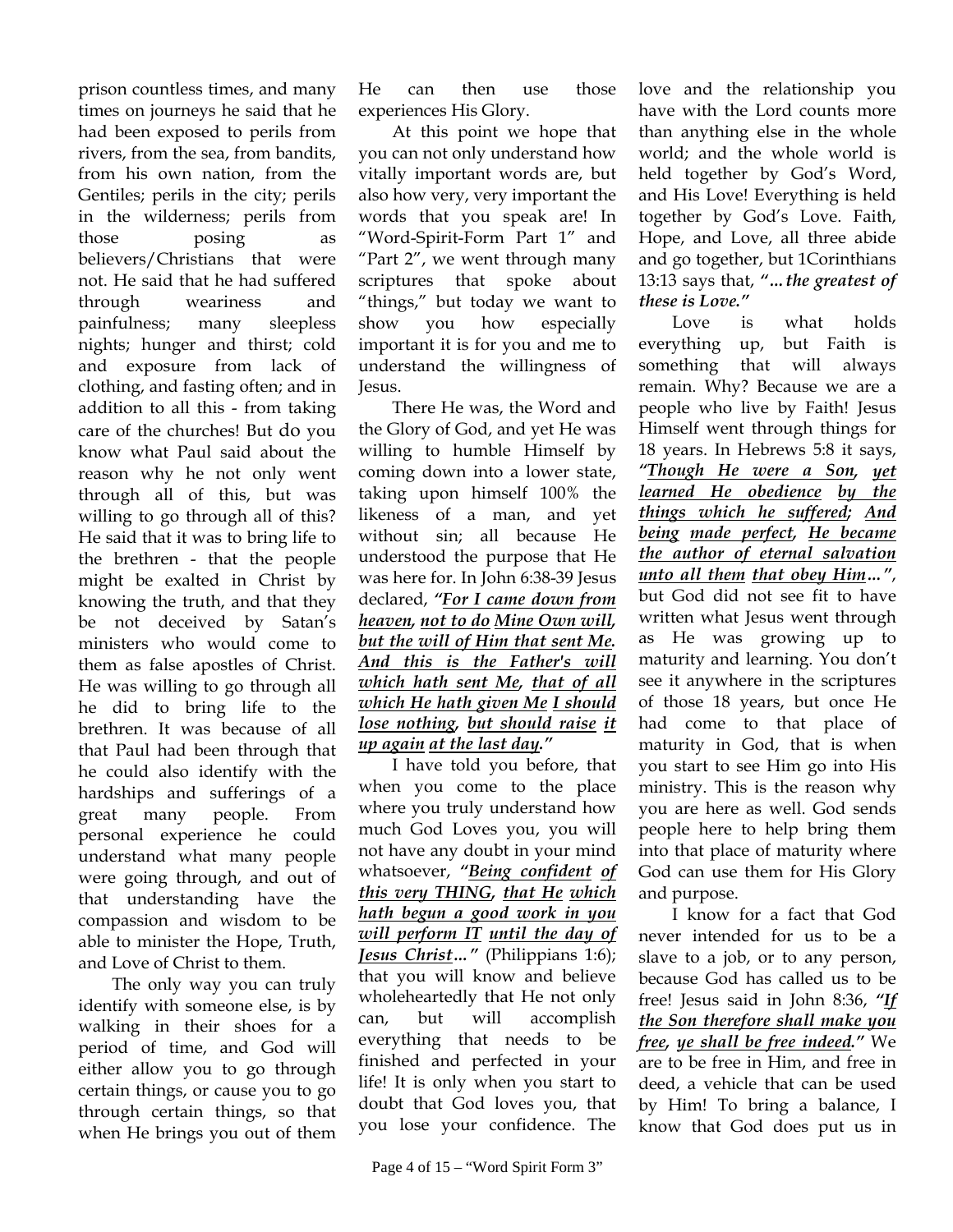prison countless times, and many times on journeys he said that he had been exposed to perils from rivers, from the sea, from bandits, from his own nation, from the Gentiles; perils in the city; perils in the wilderness; perils from those posing as believers/Christians that were not. He said that he had suffered through weariness and painfulness; many sleepless nights; hunger and thirst; cold and exposure from lack of clothing, and fasting often; and in addition to all this - from taking care of the churches! But do you know what Paul said about the reason why he not only went through all of this, but was willing to go through all of this? He said that it was to bring life to the brethren - that the people might be exalted in Christ by knowing the truth, and that they be not deceived by Satan's ministers who would come to them as false apostles of Christ. He was willing to go through all he did to bring life to the brethren. It was because of all that Paul had been through that he could also identify with the hardships and sufferings of a great many people. From personal experience he could understand what many people were going through, and out of that understanding have the compassion and wisdom to be able to minister the Hope, Truth, and Love of Christ to them.

The only way you can truly identify with someone else, is by walking in their shoes for a period of time, and God will either allow you to go through certain things, or cause you to go through certain things, so that when He brings you out of them He can then use those experiences His Glory.

At this point we hope that you can not only understand how vitally important words are, but also how very, very important the words that you speak are! In "Word-Spirit-Form Part 1" and "Part 2", we went through many scriptures that spoke about "things," but today we want to show you how especially important it is for you and me to understand the willingness of Jesus.

There He was, the Word and the Glory of God, and yet He was willing to humble Himself by coming down into a lower state, taking upon himself 100% the likeness of a man, and yet without sin; all because He understood the purpose that He was here for. In John 6:38-39 Jesus declared, *"For I came down from heaven, not to do Mine Own will, but the will of Him that sent Me. And this is the Father's will which hath sent Me, that of all which He hath given Me I should lose nothing, but should raise it up again at the last day."*

I have told you before, that when you come to the place where you truly understand how much God Loves you, you will not have any doubt in your mind whatsoever, *"Being confident of this very THING, that He which hath begun a good work in you will perform IT until the day of Jesus Christ…"* (Philippians 1:6); that you will know and believe wholeheartedly that He not only can, but will accomplish everything that needs to be finished and perfected in your life! It is only when you start to doubt that God loves you, that you lose your confidence. The

love and the relationship you have with the Lord counts more than anything else in the whole world; and the whole world is held together by God's Word, and His Love! Everything is held together by God's Love. Faith, Hope, and Love, all three abide and go together, but 1Corinthians 13:13 says that, *"…the greatest of these is Love."*

Love is what holds everything up, but Faith is something that will always remain. Why? Because we are a people who live by Faith! Jesus Himself went through things for 18 years. In Hebrews 5:8 it says, *"Though He were a Son, yet learned He obedience by the things which he suffered; And being made perfect, He became the author of eternal salvation unto all them that obey Him…"*, but God did not see fit to have written what Jesus went through as He was growing up to maturity and learning. You don't see it anywhere in the scriptures of those 18 years, but once He had come to that place of maturity in God, that is when you start to see Him go into His ministry. This is the reason why you are here as well. God sends people here to help bring them into that place of maturity where God can use them for His Glory and purpose.

I know for a fact that God never intended for us to be a slave to a job, or to any person, because God has called us to be free! Jesus said in John 8:36, *"If the Son therefore shall make you free, ye shall be free indeed."* We are to be free in Him, and free in deed, a vehicle that can be used by Him! To bring a balance, I know that God does put us in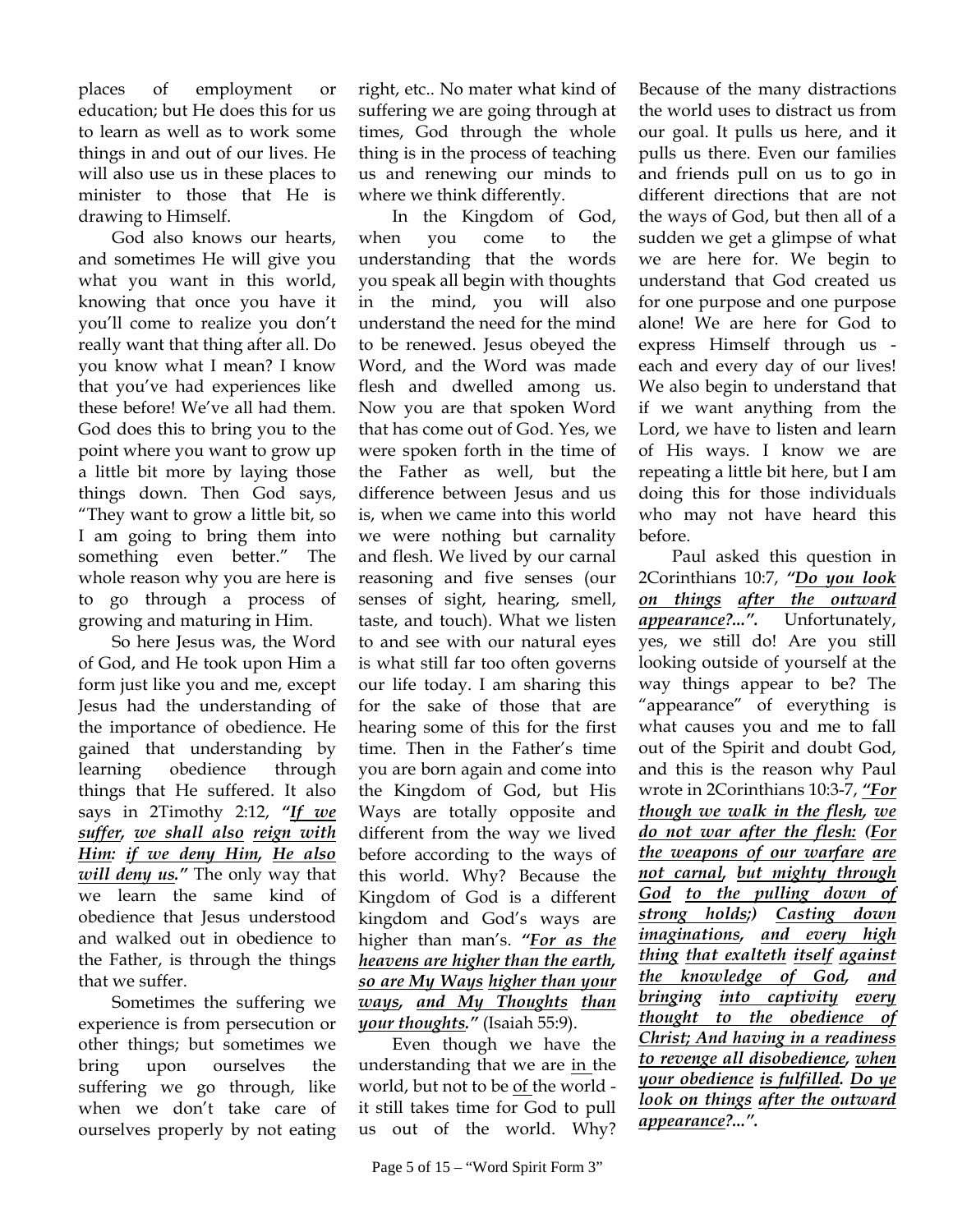places of employment or education; but He does this for us to learn as well as to work some things in and out of our lives. He will also use us in these places to minister to those that He is drawing to Himself.

God also knows our hearts, and sometimes He will give you what you want in this world, knowing that once you have it you'll come to realize you don't really want that thing after all. Do you know what I mean? I know that you've had experiences like these before! We've all had them. God does this to bring you to the point where you want to grow up a little bit more by laying those things down. Then God says, "They want to grow a little bit, so I am going to bring them into something even better." The whole reason why you are here is to go through a process of growing and maturing in Him.

So here Jesus was, the Word of God, and He took upon Him a form just like you and me, except Jesus had the understanding of the importance of obedience. He gained that understanding by learning obedience through things that He suffered. It also says in 2Timothy 2:12, *"If we suffer, we shall also reign with Him: if we deny Him, He also will deny us."* The only way that we learn the same kind of obedience that Jesus understood and walked out in obedience to the Father, is through the things that we suffer.

Sometimes the suffering we experience is from persecution or other things; but sometimes we bring upon ourselves the suffering we go through, like when we don't take care of ourselves properly by not eating

right, etc.. No mater what kind of suffering we are going through at times, God through the whole thing is in the process of teaching us and renewing our minds to where we think differently.

In the Kingdom of God, when you come to the understanding that the words you speak all begin with thoughts in the mind, you will also understand the need for the mind to be renewed. Jesus obeyed the Word, and the Word was made flesh and dwelled among us. Now you are that spoken Word that has come out of God. Yes, we were spoken forth in the time of the Father as well, but the difference between Jesus and us is, when we came into this world we were nothing but carnality and flesh. We lived by our carnal reasoning and five senses (our senses of sight, hearing, smell, taste, and touch). What we listen to and see with our natural eyes is what still far too often governs our life today. I am sharing this for the sake of those that are hearing some of this for the first time. Then in the Father's time you are born again and come into the Kingdom of God, but His Ways are totally opposite and different from the way we lived before according to the ways of this world. Why? Because the Kingdom of God is a different kingdom and God's ways are higher than man's. *"For as the heavens are higher than the earth, so are My Ways higher than your ways, and My Thoughts than your thoughts."* (Isaiah 55:9).

Even though we have the understanding that we are in the world, but not to be of the world it still takes time for God to pull us out of the world. Why?

Because of the many distractions the world uses to distract us from our goal. It pulls us here, and it pulls us there. Even our families and friends pull on us to go in different directions that are not the ways of God, but then all of a sudden we get a glimpse of what we are here for. We begin to understand that God created us for one purpose and one purpose alone! We are here for God to express Himself through us each and every day of our lives! We also begin to understand that if we want anything from the Lord, we have to listen and learn of His ways. I know we are repeating a little bit here, but I am doing this for those individuals who may not have heard this before.

Paul asked this question in 2Corinthians 10:7, *"Do you look on things after the outward appearance?...".* Unfortunately, yes, we still do! Are you still looking outside of yourself at the way things appear to be? The "appearance" of everything is what causes you and me to fall out of the Spirit and doubt God, and this is the reason why Paul wrote in 2Corinthians 10:3-7, *"For though we walk in the flesh, we do not war after the flesh: (For the weapons of our warfare are not carnal, but mighty through God to the pulling down of strong holds;) Casting down imaginations, and every high thing that exalteth itself against the knowledge of God, and bringing into captivity every thought to the obedience of Christ; And having in a readiness to revenge all disobedience, when your obedience is fulfilled. Do ye look on things after the outward appearance?...".*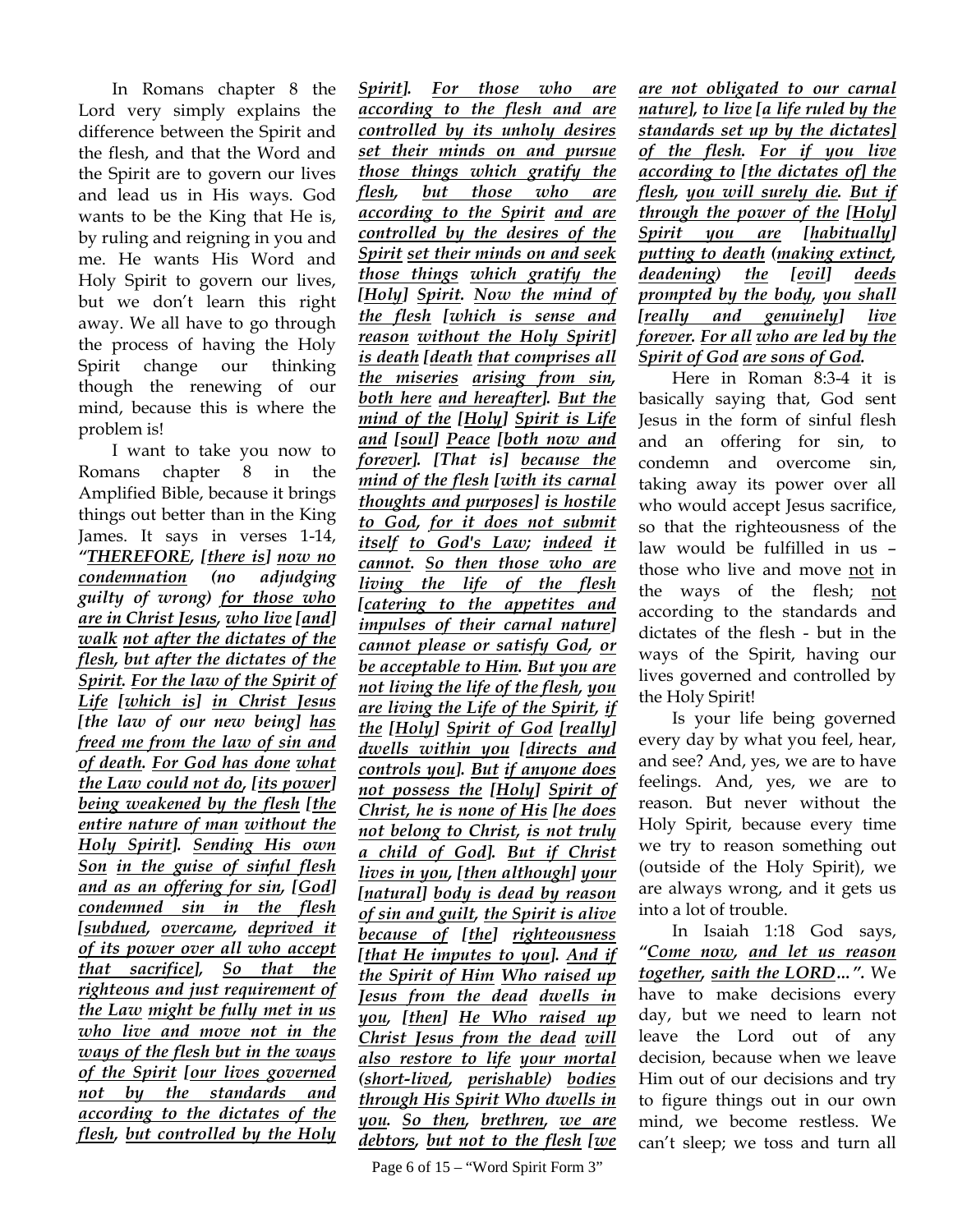In Romans chapter 8 the Lord very simply explains the difference between the Spirit and the flesh, and that the Word and the Spirit are to govern our lives and lead us in His ways. God wants to be the King that He is, by ruling and reigning in you and me. He wants His Word and Holy Spirit to govern our lives, but we don't learn this right away. We all have to go through the process of having the Holy Spirit change our thinking though the renewing of our mind, because this is where the problem is!

I want to take you now to Romans chapter 8 in the Amplified Bible, because it brings things out better than in the King James. It says in verses 1-14, *"THEREFORE, [there is] now no condemnation (no adjudging guilty of wrong) for those who are in Christ Jesus, who live [and] walk not after the dictates of the flesh, but after the dictates of the Spirit. For the law of the Spirit of Life [which is] in Christ Jesus [the law of our new being] has freed me from the law of sin and of death. For God has done what the Law could not do, [its power] being weakened by the flesh [the entire nature of man without the Holy Spirit]. Sending His own Son in the guise of sinful flesh and as an offering for sin, [God] condemned sin in the flesh [subdued, overcame, deprived it of its power over all who accept that sacrifice], So that the righteous and just requirement of the Law might be fully met in us who live and move not in the ways of the flesh but in the ways of the Spirit [our lives governed not by the standards and according to the dictates of the flesh, but controlled by the Holy* 

*Spirit]. For those who are according to the flesh and are controlled by its unholy desires set their minds on and pursue those things which gratify the flesh, but those who are according to the Spirit and are controlled by the desires of the Spirit set their minds on and seek those things which gratify the [Holy] Spirit. Now the mind of the flesh [which is sense and reason without the Holy Spirit] is death [death that comprises all the miseries arising from sin, both here and hereafter]. But the mind of the [Holy] Spirit is Life and [soul] Peace [both now and forever]. [That is] because the mind of the flesh [with its carnal thoughts and purposes] is hostile to God, for it does not submit itself to God's Law; indeed it cannot. So then those who are living the life of the flesh [catering to the appetites and impulses of their carnal nature] cannot please or satisfy God, or be acceptable to Him. But you are not living the life of the flesh, you are living the Life of the Spirit, if the [Holy] Spirit of God [really] dwells within you [directs and controls you]. But if anyone does not possess the [Holy] Spirit of Christ, he is none of His [he does not belong to Christ, is not truly a child of God]. But if Christ lives in you, [then although] your [natural] body is dead by reason of sin and guilt, the Spirit is alive because of [the] righteousness [that He imputes to you]. And if the Spirit of Him Who raised up Jesus from the dead dwells in you, [then] He Who raised up Christ Jesus from the dead will also restore to life your mortal (short-lived, perishable) bodies through His Spirit Who dwells in you. So then, brethren, we are debtors, but not to the flesh [we* 

*are not obligated to our carnal nature], to live [a life ruled by the standards set up by the dictates] of the flesh. For if you live according to [the dictates of] the flesh, you will surely die. But if through the power of the [Holy] Spirit you are [habitually] putting to death (making extinct, deadening) the [evil] deeds prompted by the body, you shall [really and genuinely] live forever. For all who are led by the Spirit of God are sons of God.* 

Here in Roman 8:3-4 it is basically saying that, God sent Jesus in the form of sinful flesh and an offering for sin, to condemn and overcome sin, taking away its power over all who would accept Jesus sacrifice, so that the righteousness of the law would be fulfilled in us – those who live and move not in the ways of the flesh; not according to the standards and dictates of the flesh - but in the ways of the Spirit, having our lives governed and controlled by the Holy Spirit!

Is your life being governed every day by what you feel, hear, and see? And, yes, we are to have feelings. And, yes, we are to reason. But never without the Holy Spirit, because every time we try to reason something out (outside of the Holy Spirit), we are always wrong, and it gets us into a lot of trouble.

In Isaiah 1:18 God says, *"Come now, and let us reason together, saith the LORD…".* We have to make decisions every day, but we need to learn not leave the Lord out of any decision, because when we leave Him out of our decisions and try to figure things out in our own mind, we become restless. We can't sleep; we toss and turn all

Page 6 of 15 – "Word Spirit Form 3"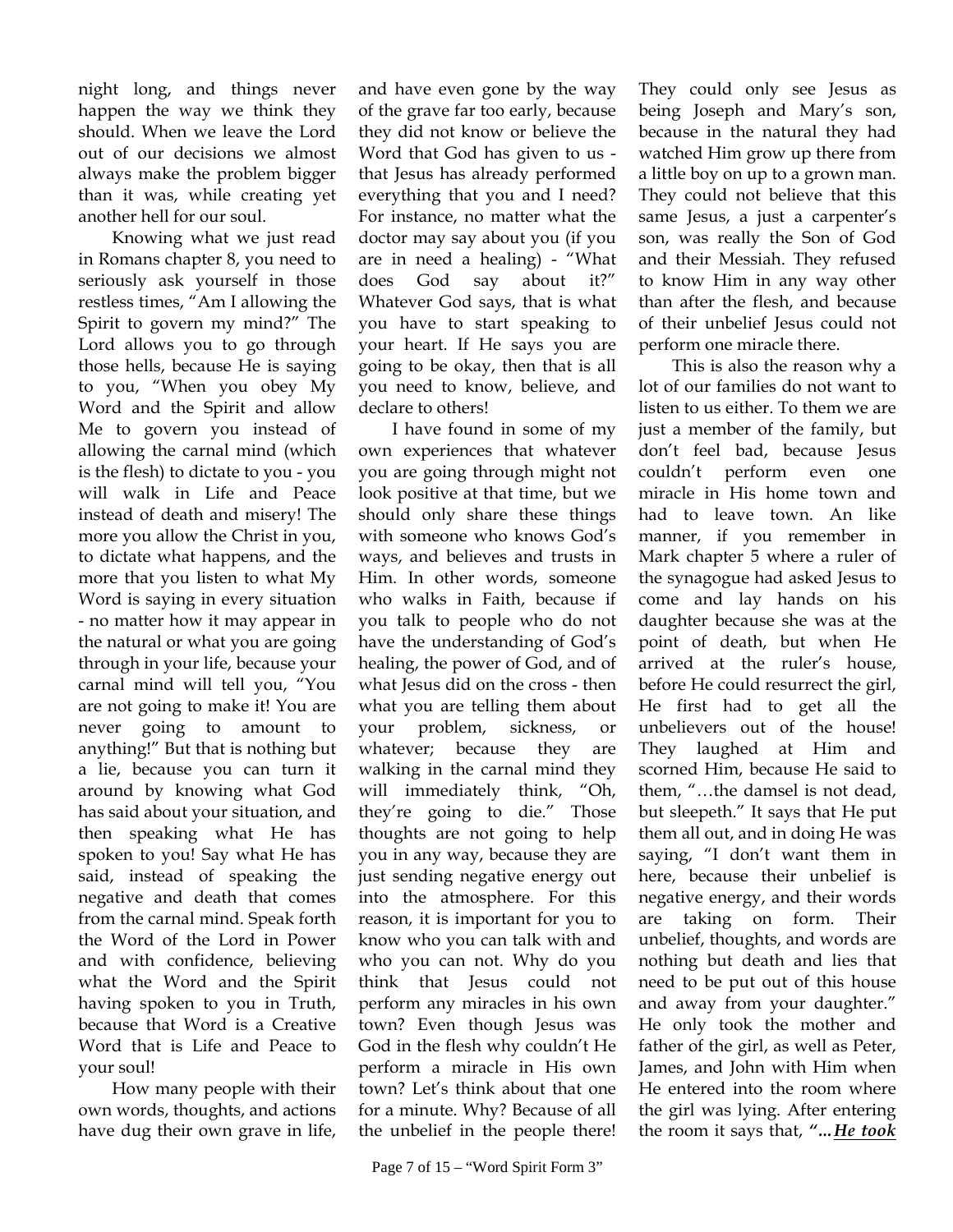night long, and things never happen the way we think they should. When we leave the Lord out of our decisions we almost always make the problem bigger than it was, while creating yet another hell for our soul.

Knowing what we just read in Romans chapter 8, you need to seriously ask yourself in those restless times, "Am I allowing the Spirit to govern my mind?" The Lord allows you to go through those hells, because He is saying to you, "When you obey My Word and the Spirit and allow Me to govern you instead of allowing the carnal mind (which is the flesh) to dictate to you - you will walk in Life and Peace instead of death and misery! The more you allow the Christ in you, to dictate what happens, and the more that you listen to what My Word is saying in every situation - no matter how it may appear in the natural or what you are going through in your life, because your carnal mind will tell you, "You are not going to make it! You are never going to amount to anything!" But that is nothing but a lie, because you can turn it around by knowing what God has said about your situation, and then speaking what He has spoken to you! Say what He has said, instead of speaking the negative and death that comes from the carnal mind. Speak forth the Word of the Lord in Power and with confidence, believing what the Word and the Spirit having spoken to you in Truth, because that Word is a Creative Word that is Life and Peace to your soul!

How many people with their own words, thoughts, and actions have dug their own grave in life,

and have even gone by the way of the grave far too early, because they did not know or believe the Word that God has given to us that Jesus has already performed everything that you and I need? For instance, no matter what the doctor may say about you (if you are in need a healing) - "What does God say about it?" Whatever God says, that is what you have to start speaking to your heart. If He says you are going to be okay, then that is all you need to know, believe, and declare to others!

I have found in some of my own experiences that whatever you are going through might not look positive at that time, but we should only share these things with someone who knows God's ways, and believes and trusts in Him. In other words, someone who walks in Faith, because if you talk to people who do not have the understanding of God's healing, the power of God, and of what Jesus did on the cross - then what you are telling them about your problem, sickness, or whatever; because they are walking in the carnal mind they will immediately think, "Oh, they're going to die." Those thoughts are not going to help you in any way, because they are just sending negative energy out into the atmosphere. For this reason, it is important for you to know who you can talk with and who you can not. Why do you think that Jesus could not perform any miracles in his own town? Even though Jesus was God in the flesh why couldn't He perform a miracle in His own town? Let's think about that one for a minute. Why? Because of all the unbelief in the people there! They could only see Jesus as being Joseph and Mary's son, because in the natural they had watched Him grow up there from a little boy on up to a grown man. They could not believe that this same Jesus, a just a carpenter's son, was really the Son of God and their Messiah. They refused to know Him in any way other than after the flesh, and because of their unbelief Jesus could not perform one miracle there.

This is also the reason why a lot of our families do not want to listen to us either. To them we are just a member of the family, but don't feel bad, because Jesus couldn't perform even one miracle in His home town and had to leave town. An like manner, if you remember in Mark chapter 5 where a ruler of the synagogue had asked Jesus to come and lay hands on his daughter because she was at the point of death, but when He arrived at the ruler's house, before He could resurrect the girl, He first had to get all the unbelievers out of the house! They laughed at Him and scorned Him, because He said to them, "…the damsel is not dead, but sleepeth." It says that He put them all out, and in doing He was saying, "I don't want them in here, because their unbelief is negative energy, and their words are taking on form. Their unbelief, thoughts, and words are nothing but death and lies that need to be put out of this house and away from your daughter." He only took the mother and father of the girl, as well as Peter, James, and John with Him when He entered into the room where the girl was lying. After entering the room it says that, *"…He took*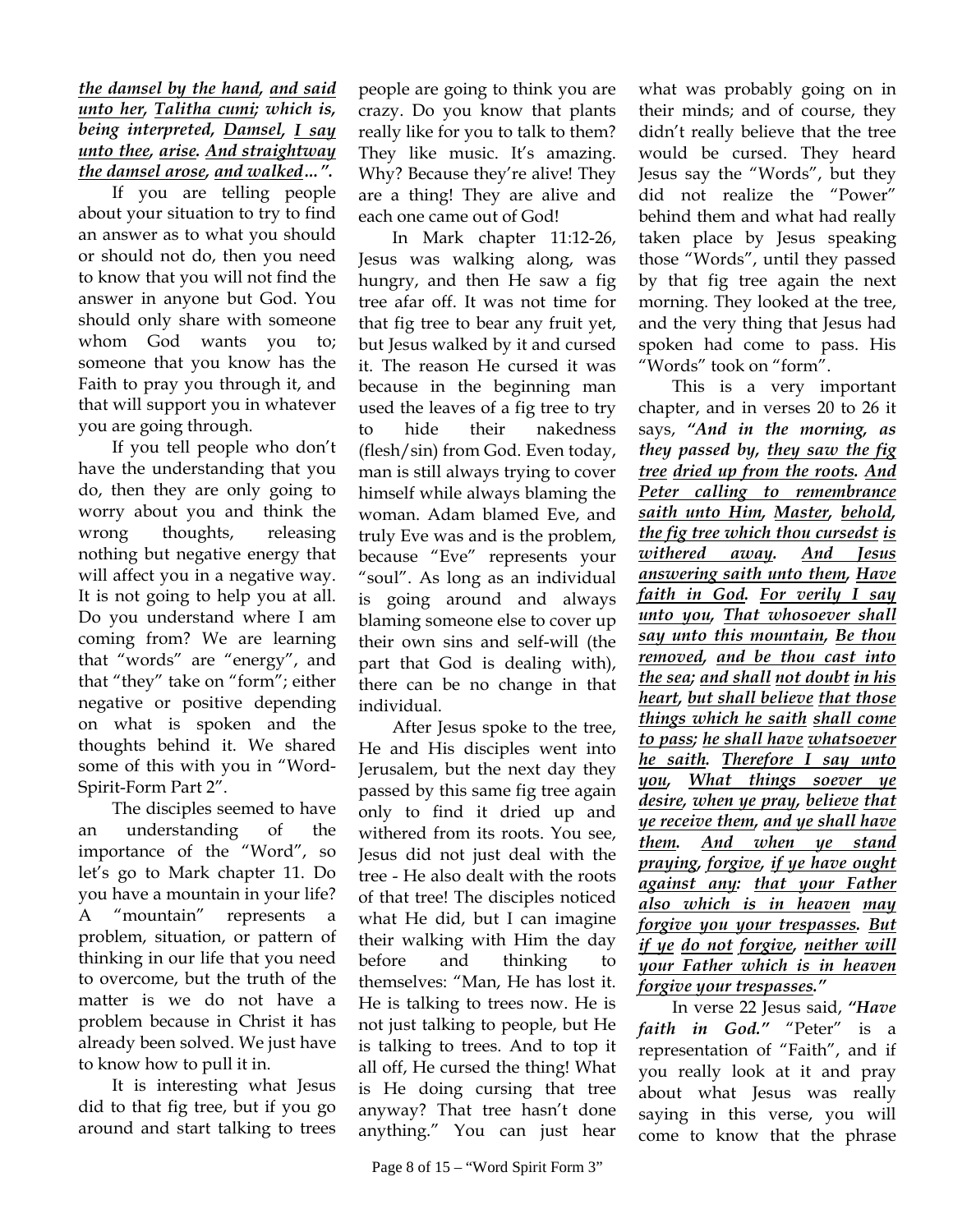## *the damsel by the hand, and said unto her, Talitha cumi; which is, being interpreted, Damsel, I say unto thee, arise. And straightway the damsel arose, and walked…".*

If you are telling people about your situation to try to find an answer as to what you should or should not do, then you need to know that you will not find the answer in anyone but God. You should only share with someone whom God wants you to; someone that you know has the Faith to pray you through it, and that will support you in whatever you are going through.

If you tell people who don't have the understanding that you do, then they are only going to worry about you and think the wrong thoughts, releasing nothing but negative energy that will affect you in a negative way. It is not going to help you at all. Do you understand where I am coming from? We are learning that "words" are "energy", and that "they" take on "form"; either negative or positive depending on what is spoken and the thoughts behind it. We shared some of this with you in "Word-Spirit-Form Part 2".

The disciples seemed to have an understanding of the importance of the "Word", so let's go to Mark chapter 11. Do you have a mountain in your life? A "mountain" represents a problem, situation, or pattern of thinking in our life that you need to overcome, but the truth of the matter is we do not have a problem because in Christ it has already been solved. We just have to know how to pull it in.

It is interesting what Jesus did to that fig tree, but if you go around and start talking to trees

people are going to think you are crazy. Do you know that plants really like for you to talk to them? They like music. It's amazing. Why? Because they're alive! They are a thing! They are alive and each one came out of God!

In Mark chapter 11:12-26, Jesus was walking along, was hungry, and then He saw a fig tree afar off. It was not time for that fig tree to bear any fruit yet, but Jesus walked by it and cursed it. The reason He cursed it was because in the beginning man used the leaves of a fig tree to try to hide their nakedness (flesh/sin) from God. Even today, man is still always trying to cover himself while always blaming the woman. Adam blamed Eve, and truly Eve was and is the problem, because "Eve" represents your "soul". As long as an individual is going around and always blaming someone else to cover up their own sins and self-will (the part that God is dealing with), there can be no change in that individual.

After Jesus spoke to the tree, He and His disciples went into Jerusalem, but the next day they passed by this same fig tree again only to find it dried up and withered from its roots. You see, Jesus did not just deal with the tree - He also dealt with the roots of that tree! The disciples noticed what He did, but I can imagine their walking with Him the day before and thinking to themselves: "Man, He has lost it. He is talking to trees now. He is not just talking to people, but He is talking to trees. And to top it all off, He cursed the thing! What is He doing cursing that tree anyway? That tree hasn't done anything." You can just hear what was probably going on in their minds; and of course, they didn't really believe that the tree would be cursed. They heard Jesus say the "Words", but they did not realize the "Power" behind them and what had really taken place by Jesus speaking those "Words", until they passed by that fig tree again the next morning. They looked at the tree, and the very thing that Jesus had spoken had come to pass. His "Words" took on "form".

This is a very important chapter, and in verses 20 to 26 it says, *"And in the morning, as they passed by, they saw the fig tree dried up from the roots. And Peter calling to remembrance saith unto Him, Master, behold, the fig tree which thou cursedst is withered away. And Jesus answering saith unto them, Have faith in God. For verily I say unto you, That whosoever shall say unto this mountain, Be thou removed, and be thou cast into the sea; and shall not doubt in his heart, but shall believe that those things which he saith shall come to pass; he shall have whatsoever he saith. Therefore I say unto you, What things soever ye desire, when ye pray, believe that ye receive them, and ye shall have them. And when ye stand praying, forgive, if ye have ought against any: that your Father also which is in heaven may forgive you your trespasses. But if ye do not forgive, neither will your Father which is in heaven forgive your trespasses."* 

In verse 22 Jesus said, *"Have faith in God."* "Peter" is a representation of "Faith", and if you really look at it and pray about what Jesus was really saying in this verse, you will come to know that the phrase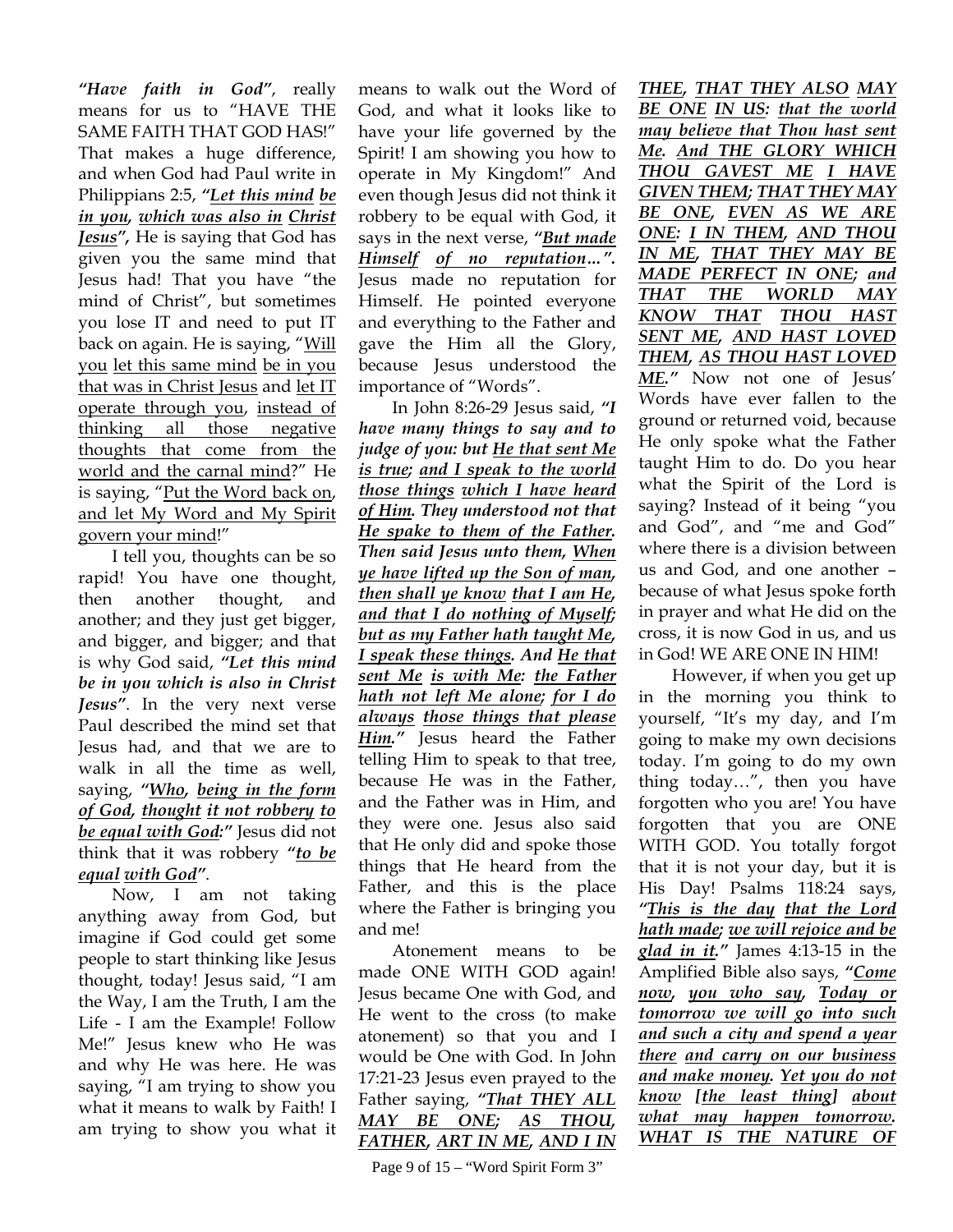*"Have faith in God"*, really means for us to "HAVE THE SAME FAITH THAT GOD HAS!" That makes a huge difference, and when God had Paul write in Philippians 2:5, *"Let this mind be in you, which was also in Christ Jesus",* He is saying that God has given you the same mind that Jesus had! That you have "the mind of Christ", but sometimes you lose IT and need to put IT back on again. He is saying, "Will you let this same mind be in you that was in Christ Jesus and let IT operate through you, instead of thinking all those negative thoughts that come from the world and the carnal mind?" He is saying, "Put the Word back on, and let My Word and My Spirit govern your mind!"

I tell you, thoughts can be so rapid! You have one thought, then another thought, and another; and they just get bigger, and bigger, and bigger; and that is why God said, *"Let this mind be in you which is also in Christ Jesus"*. In the very next verse Paul described the mind set that Jesus had, and that we are to walk in all the time as well, saying, *"Who, being in the form of God, thought it not robbery to be equal with God:"* Jesus did not think that it was robbery *"to be equal with God"*.

Now, I am not taking anything away from God, but imagine if God could get some people to start thinking like Jesus thought, today! Jesus said, "I am the Way, I am the Truth, I am the Life - I am the Example! Follow Me!" Jesus knew who He was and why He was here. He was saying, "I am trying to show you what it means to walk by Faith! I am trying to show you what it means to walk out the Word of God, and what it looks like to have your life governed by the Spirit! I am showing you how to operate in My Kingdom!" And even though Jesus did not think it robbery to be equal with God, it says in the next verse, *"But made Himself of no reputation…".* Jesus made no reputation for Himself. He pointed everyone and everything to the Father and gave the Him all the Glory, because Jesus understood the importance of "Words".

In John 8:26-29 Jesus said, *"I have many things to say and to judge of you: but He that sent Me is true; and I speak to the world those things which I have heard of Him. They understood not that He spake to them of the Father. Then said Jesus unto them, When ye have lifted up the Son of man, then shall ye know that I am He, and that I do nothing of Myself; but as my Father hath taught Me, I speak these things. And He that sent Me is with Me: the Father hath not left Me alone; for I do always those things that please Him."* Jesus heard the Father telling Him to speak to that tree, because He was in the Father, and the Father was in Him, and they were one. Jesus also said that He only did and spoke those things that He heard from the Father, and this is the place where the Father is bringing you and me!

Atonement means to be made ONE WITH GOD again! Jesus became One with God, and He went to the cross (to make atonement) so that you and I would be One with God. In John 17:21-23 Jesus even prayed to the Father saying, *"That THEY ALL MAY BE ONE; AS THOU, FATHER, ART IN ME, AND I IN* 

Page 9 of 15 – "Word Spirit Form 3"

*THEE, THAT THEY ALSO MAY BE ONE IN US: that the world may believe that Thou hast sent Me. And THE GLORY WHICH THOU GAVEST ME I HAVE GIVEN THEM; THAT THEY MAY BE ONE, EVEN AS WE ARE ONE: I IN THEM, AND THOU IN ME, THAT THEY MAY BE MADE PERFECT IN ONE; and THAT THE WORLD MAY KNOW THAT THOU HAST SENT ME, AND HAST LOVED THEM, AS THOU HAST LOVED ME."* Now not one of Jesus' Words have ever fallen to the ground or returned void, because He only spoke what the Father taught Him to do. Do you hear what the Spirit of the Lord is saying? Instead of it being "you and God", and "me and God" where there is a division between us and God, and one another – because of what Jesus spoke forth in prayer and what He did on the cross, it is now God in us, and us in God! WE ARE ONE IN HIM!

However, if when you get up in the morning you think to yourself, "It's my day, and I'm going to make my own decisions today. I'm going to do my own thing today…", then you have forgotten who you are! You have forgotten that you are ONE WITH GOD. You totally forgot that it is not your day, but it is His Day! Psalms 118:24 says, *"This is the day that the Lord hath made; we will rejoice and be glad in it."* James 4:13-15 in the Amplified Bible also says, *"Come now, you who say, Today or tomorrow we will go into such and such a city and spend a year there and carry on our business and make money. Yet you do not know [the least thing] about what may happen tomorrow. WHAT IS THE NATURE OF*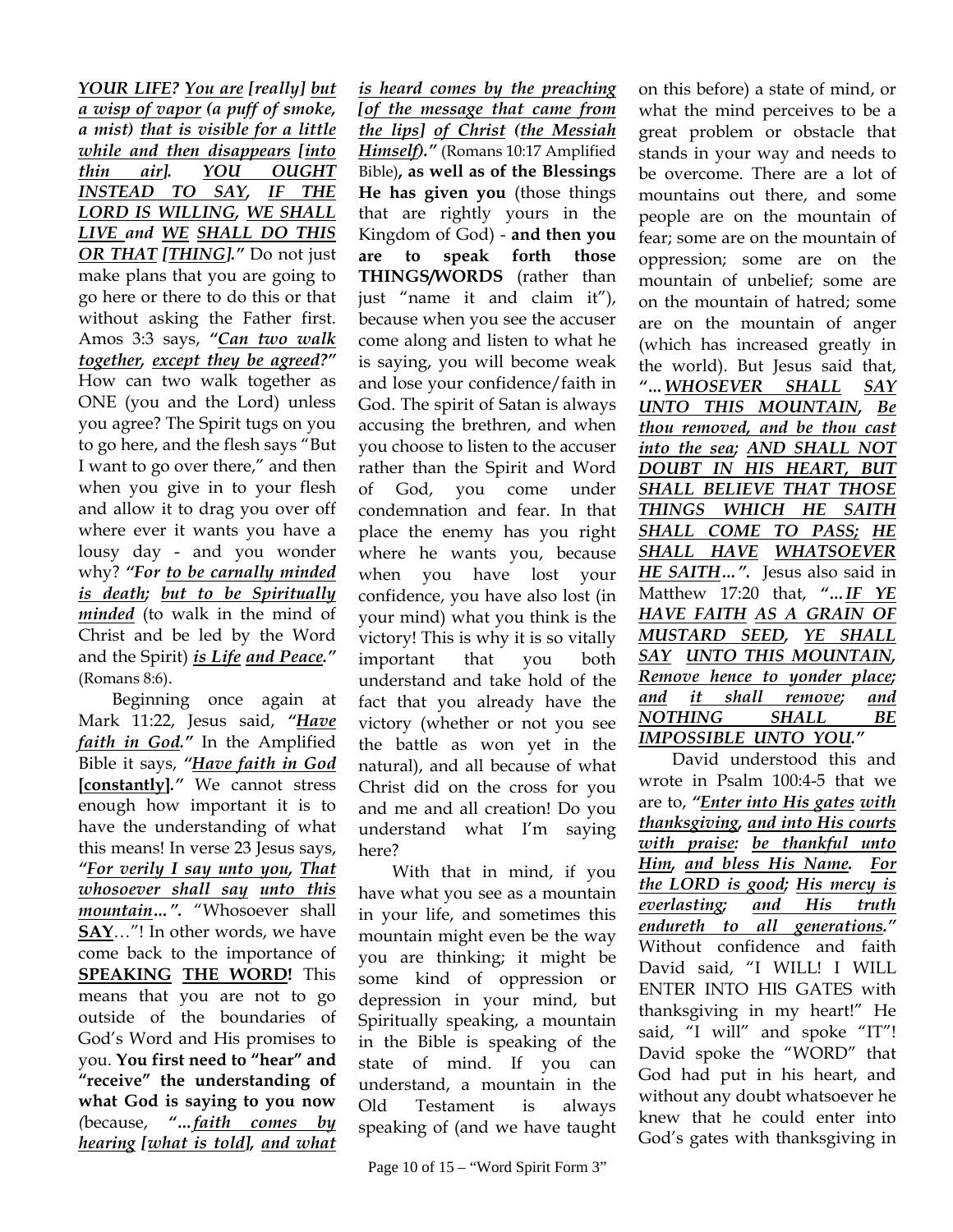*YOUR LIFE? You are [really] but a wisp of vapor (a puff of smoke, a mist) that is visible for a little while and then disappears [into thin air]. YOU OUGHT INSTEAD TO SAY, IF THE LORD IS WILLING, WE SHALL LIVE and WE SHALL DO THIS OR THAT [THING]."* Do not just make plans that you are going to go here or there to do this or that without asking the Father first. Amos 3:3 says, *"Can two walk together, except they be agreed?"* How can two walk together as ONE (you and the Lord) unless you agree? The Spirit tugs on you to go here, and the flesh says "But I want to go over there," and then when you give in to your flesh and allow it to drag you over off where ever it wants you have a lousy day - and you wonder why? *"For to be carnally minded is death; but to be Spiritually minded* (to walk in the mind of Christ and be led by the Word and the Spirit) *is Life and Peace."*  (Romans 8:6).

Beginning once again at Mark 11:22, Jesus said, *"Have faith in God."* In the Amplified Bible it says, *"Have faith in God* **[constantly]***."* We cannot stress enough how important it is to have the understanding of what this means! In verse 23 Jesus says, *"For verily I say unto you, That whosoever shall say unto this mountain…".* "Whosoever shall **SAY**…"! In other words, we have come back to the importance of **SPEAKING THE WORD!** This means that you are not to go outside of the boundaries of God's Word and His promises to you. **You first need to "hear" and "receive" the understanding of what God is saying to you now** *(*because, *"…faith comes by hearing [what is told], and what* 

*is heard comes by the preaching [of the message that came from the lips] of Christ (the Messiah Himself)."* (Romans 10:17 Amplified Bible)**, as well as of the Blessings He has given you** (those things that are rightly yours in the Kingdom of God) - **and then you are to speak forth those THINGS/WORDS** (rather than just "name it and claim it"), because when you see the accuser come along and listen to what he is saying, you will become weak and lose your confidence/faith in God. The spirit of Satan is always accusing the brethren, and when you choose to listen to the accuser rather than the Spirit and Word of God, you come under condemnation and fear. In that place the enemy has you right where he wants you, because when you have lost your confidence, you have also lost (in your mind) what you think is the victory! This is why it is so vitally important that you both understand and take hold of the fact that you already have the victory (whether or not you see the battle as won yet in the natural), and all because of what Christ did on the cross for you and me and all creation! Do you understand what I'm saying here?

With that in mind, if you have what you see as a mountain in your life, and sometimes this mountain might even be the way you are thinking; it might be some kind of oppression or depression in your mind, but Spiritually speaking, a mountain in the Bible is speaking of the state of mind. If you can understand, a mountain in the Old Testament is always speaking of (and we have taught

on this before) a state of mind, or what the mind perceives to be a great problem or obstacle that stands in your way and needs to be overcome. There are a lot of mountains out there, and some people are on the mountain of fear; some are on the mountain of oppression; some are on the mountain of unbelief; some are on the mountain of hatred; some are on the mountain of anger (which has increased greatly in the world). But Jesus said that, *"…WHOSEVER SHALL SAY UNTO THIS MOUNTAIN, Be thou removed, and be thou cast into the sea; AND SHALL NOT DOUBT IN HIS HEART, BUT SHALL BELIEVE THAT THOSE THINGS WHICH HE SAITH SHALL COME TO PASS; HE SHALL HAVE WHATSOEVER HE SAITH…".* Jesus also said in Matthew 17:20 that, *"…IF YE HAVE FAITH AS A GRAIN OF MUSTARD SEED, YE SHALL SAY UNTO THIS MOUNTAIN, Remove hence to yonder place; and it shall remove; and NOTHING SHALL BE IMPOSSIBLE UNTO YOU."*

David understood this and wrote in Psalm 100:4-5 that we are to, *"Enter into His gates with thanksgiving, and into His courts with praise: be thankful unto Him, and bless His Name. For the LORD is good; His mercy is everlasting; and His truth endureth to all generations."* Without confidence and faith David said, "I WILL! I WILL ENTER INTO HIS GATES with thanksgiving in my heart!" He said, "I will" and spoke "IT"! David spoke the "WORD" that God had put in his heart, and without any doubt whatsoever he knew that he could enter into God's gates with thanksgiving in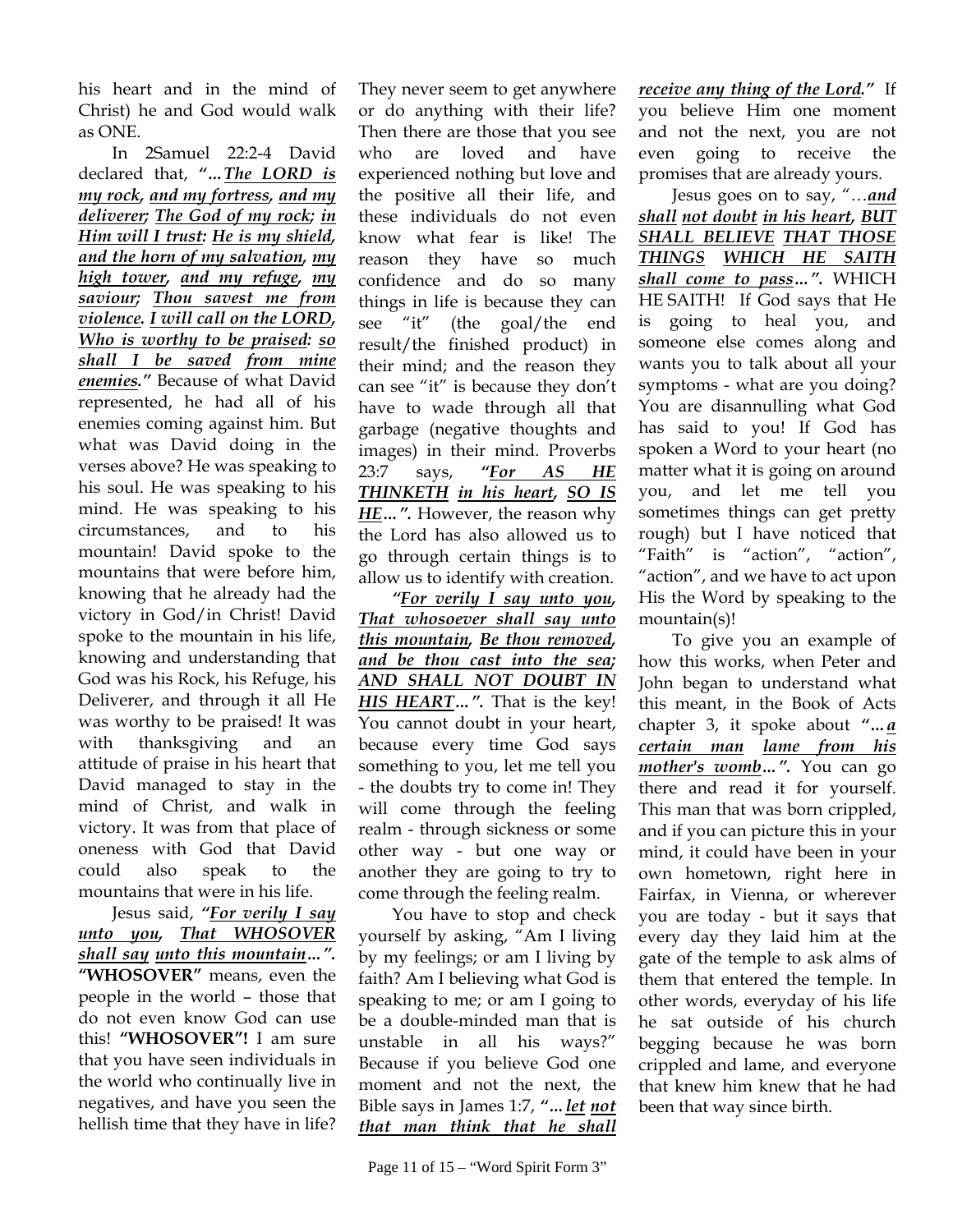his heart and in the mind of Christ) he and God would walk as ONE.

In 2Samuel 22:2-4 David declared that, *"…The LORD is my rock, and my fortress, and my deliverer; The God of my rock; in Him will I trust: He is my shield, and the horn of my salvation, my high tower, and my refuge, my saviour; Thou savest me from violence. I will call on the LORD, Who is worthy to be praised: so shall I be saved from mine enemies."* Because of what David represented, he had all of his enemies coming against him. But what was David doing in the verses above? He was speaking to his soul. He was speaking to his mind. He was speaking to his circumstances, and to his mountain! David spoke to the mountains that were before him, knowing that he already had the victory in God/in Christ! David spoke to the mountain in his life, knowing and understanding that God was his Rock, his Refuge, his Deliverer, and through it all He was worthy to be praised! It was with thanksgiving and an attitude of praise in his heart that David managed to stay in the mind of Christ, and walk in victory. It was from that place of oneness with God that David could also speak to the mountains that were in his life.

Jesus said, *"For verily I say unto you, That WHOSOVER shall say unto this mountain…".*  **"WHOSOVER"** means, even the people in the world – those that do not even know God can use this! **"WHOSOVER"!** I am sure that you have seen individuals in the world who continually live in negatives, and have you seen the hellish time that they have in life?

They never seem to get anywhere or do anything with their life? Then there are those that you see who are loved and have experienced nothing but love and the positive all their life, and these individuals do not even know what fear is like! The reason they have so much confidence and do so many things in life is because they can see "it" (the goal/the end result/the finished product) in their mind; and the reason they can see "it" is because they don't have to wade through all that garbage (negative thoughts and images) in their mind. Proverbs 23:7 says, *"For AS HE THINKETH in his heart, SO IS HE…".* However, the reason why the Lord has also allowed us to go through certain things is to allow us to identify with creation.

*"For verily I say unto you, That whosoever shall say unto this mountain, Be thou removed, and be thou cast into the sea; AND SHALL NOT DOUBT IN HIS HEART…".* That is the key! You cannot doubt in your heart, because every time God says something to you, let me tell you - the doubts try to come in! They will come through the feeling realm - through sickness or some other way - but one way or another they are going to try to come through the feeling realm.

You have to stop and check yourself by asking, "Am I living by my feelings; or am I living by faith? Am I believing what God is speaking to me; or am I going to be a double-minded man that is unstable in all his ways?" Because if you believe God one moment and not the next, the Bible says in James 1:7, *"…let not that man think that he shall*  *receive any thing of the Lord."* If you believe Him one moment and not the next, you are not even going to receive the promises that are already yours.

Jesus goes on to say, "…*and shall not doubt in his heart, BUT SHALL BELIEVE THAT THOSE THINGS WHICH HE SAITH shall come to pass…".* WHICH HE SAITH! If God says that He is going to heal you, and someone else comes along and wants you to talk about all your symptoms - what are you doing? You are disannulling what God has said to you! If God has spoken a Word to your heart (no matter what it is going on around you, and let me tell you sometimes things can get pretty rough) but I have noticed that "Faith" is "action", "action", "action", and we have to act upon His the Word by speaking to the mountain(s)!

To give you an example of how this works, when Peter and John began to understand what this meant, in the Book of Acts chapter 3, it spoke about *"…a certain man lame from his mother's womb…".* You can go there and read it for yourself. This man that was born crippled, and if you can picture this in your mind, it could have been in your own hometown, right here in Fairfax, in Vienna, or wherever you are today - but it says that every day they laid him at the gate of the temple to ask alms of them that entered the temple. In other words, everyday of his life he sat outside of his church begging because he was born crippled and lame, and everyone that knew him knew that he had been that way since birth.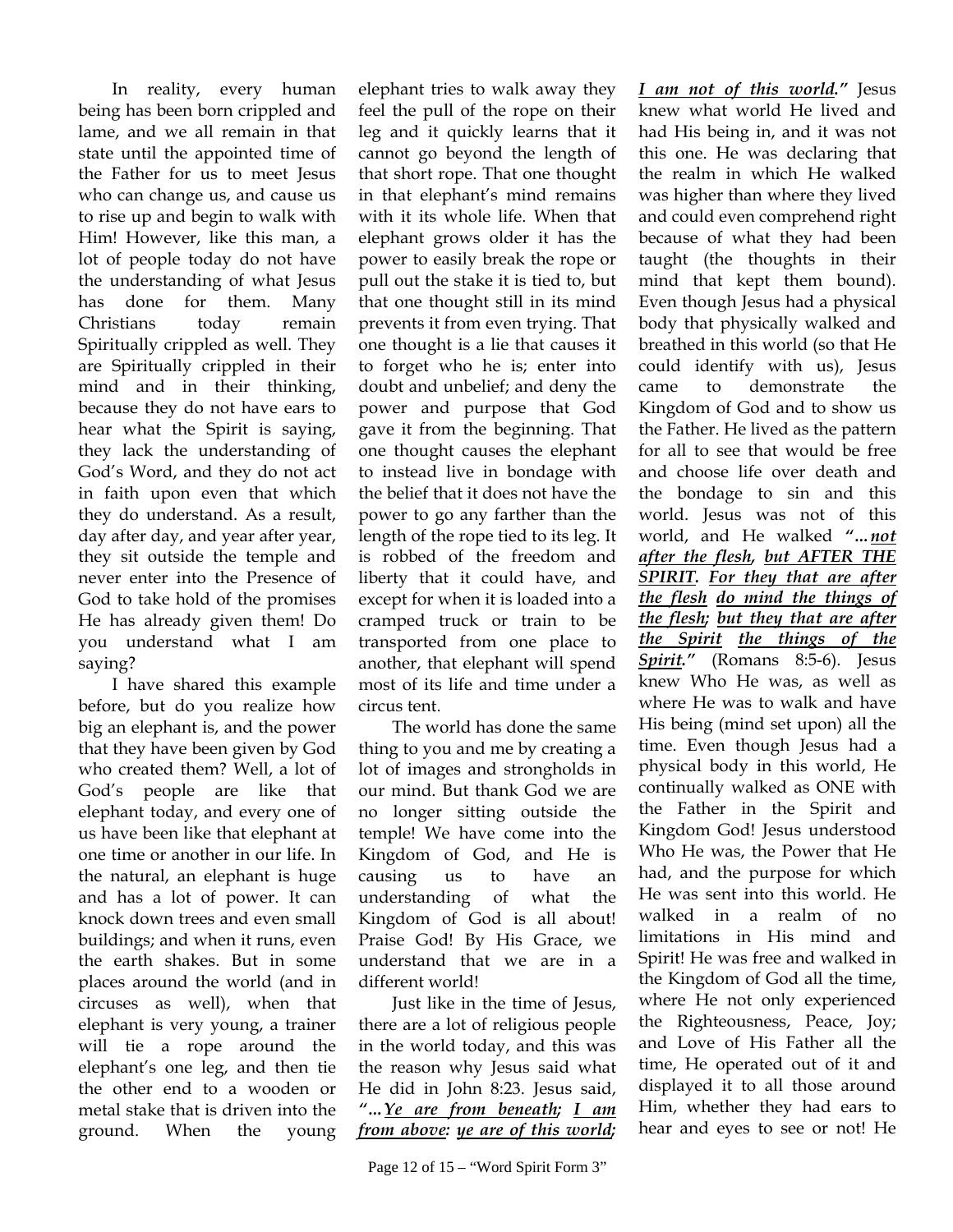In reality, every human being has been born crippled and lame, and we all remain in that state until the appointed time of the Father for us to meet Jesus who can change us, and cause us to rise up and begin to walk with Him! However, like this man, a lot of people today do not have the understanding of what Jesus has done for them. Many Christians today remain Spiritually crippled as well. They are Spiritually crippled in their mind and in their thinking, because they do not have ears to hear what the Spirit is saying, they lack the understanding of God's Word, and they do not act in faith upon even that which they do understand. As a result, day after day, and year after year, they sit outside the temple and never enter into the Presence of God to take hold of the promises He has already given them! Do you understand what I am saying?

I have shared this example before, but do you realize how big an elephant is, and the power that they have been given by God who created them? Well, a lot of God's people are like that elephant today, and every one of us have been like that elephant at one time or another in our life. In the natural, an elephant is huge and has a lot of power. It can knock down trees and even small buildings; and when it runs, even the earth shakes. But in some places around the world (and in circuses as well), when that elephant is very young, a trainer will tie a rope around the elephant's one leg, and then tie the other end to a wooden or metal stake that is driven into the ground. When the young

elephant tries to walk away they feel the pull of the rope on their leg and it quickly learns that it cannot go beyond the length of that short rope. That one thought in that elephant's mind remains with it its whole life. When that elephant grows older it has the power to easily break the rope or pull out the stake it is tied to, but that one thought still in its mind prevents it from even trying. That one thought is a lie that causes it to forget who he is; enter into doubt and unbelief; and deny the power and purpose that God gave it from the beginning. That one thought causes the elephant to instead live in bondage with the belief that it does not have the power to go any farther than the length of the rope tied to its leg. It is robbed of the freedom and liberty that it could have, and except for when it is loaded into a cramped truck or train to be transported from one place to another, that elephant will spend most of its life and time under a circus tent.

The world has done the same thing to you and me by creating a lot of images and strongholds in our mind. But thank God we are no longer sitting outside the temple! We have come into the Kingdom of God, and He is causing us to have an understanding of what the Kingdom of God is all about! Praise God! By His Grace, we understand that we are in a different world!

Just like in the time of Jesus, there are a lot of religious people in the world today, and this was the reason why Jesus said what He did in John 8:23. Jesus said, *"…Ye are from beneath; I am from above: ye are of this world;* 

Page 12 of 15 – "Word Spirit Form 3"

*I am not of this world."* Jesus knew what world He lived and had His being in, and it was not this one. He was declaring that the realm in which He walked was higher than where they lived and could even comprehend right because of what they had been taught (the thoughts in their mind that kept them bound). Even though Jesus had a physical body that physically walked and breathed in this world (so that He could identify with us), Jesus came to demonstrate the Kingdom of God and to show us the Father. He lived as the pattern for all to see that would be free and choose life over death and the bondage to sin and this world. Jesus was not of this world, and He walked *"…not after the flesh, but AFTER THE SPIRIT. For they that are after the flesh do mind the things of the flesh; but they that are after the Spirit the things of the Spirit."* (Romans 8:5-6). Jesus knew Who He was, as well as where He was to walk and have His being (mind set upon) all the time. Even though Jesus had a physical body in this world, He continually walked as ONE with the Father in the Spirit and Kingdom God! Jesus understood Who He was, the Power that He had, and the purpose for which He was sent into this world. He walked in a realm of no limitations in His mind and Spirit! He was free and walked in the Kingdom of God all the time, where He not only experienced the Righteousness, Peace, Joy; and Love of His Father all the time, He operated out of it and displayed it to all those around Him, whether they had ears to hear and eyes to see or not! He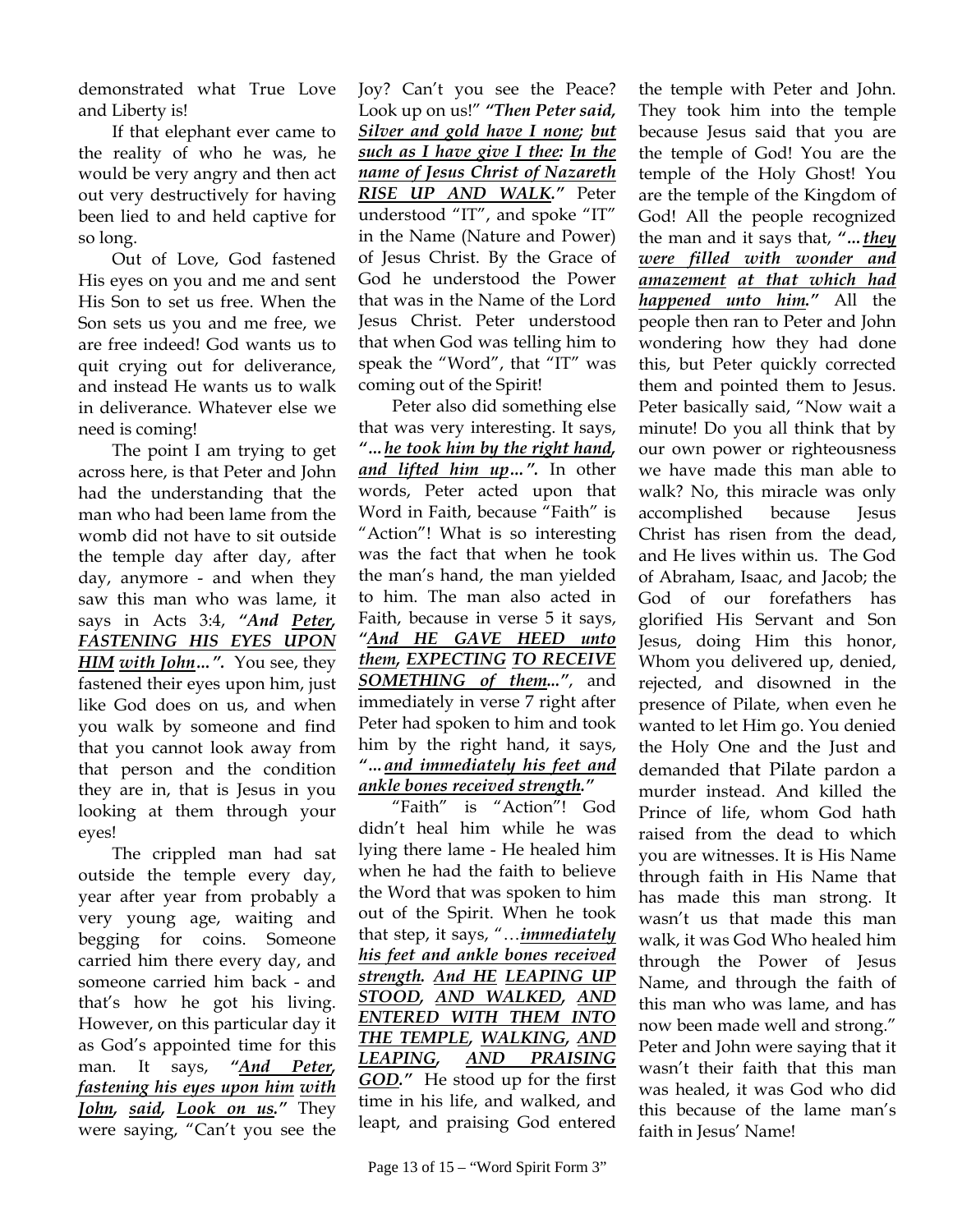demonstrated what True Love and Liberty is!

If that elephant ever came to the reality of who he was, he would be very angry and then act out very destructively for having been lied to and held captive for so long.

Out of Love, God fastened His eyes on you and me and sent His Son to set us free. When the Son sets us you and me free, we are free indeed! God wants us to quit crying out for deliverance, and instead He wants us to walk in deliverance. Whatever else we need is coming!

The point I am trying to get across here, is that Peter and John had the understanding that the man who had been lame from the womb did not have to sit outside the temple day after day, after day, anymore - and when they saw this man who was lame, it says in Acts 3:4, *"And Peter, FASTENING HIS EYES UPON HIM with John…".* You see, they fastened their eyes upon him, just like God does on us, and when you walk by someone and find that you cannot look away from that person and the condition they are in, that is Jesus in you looking at them through your eyes!

The crippled man had sat outside the temple every day, year after year from probably a very young age, waiting and begging for coins. Someone carried him there every day, and someone carried him back - and that's how he got his living. However, on this particular day it as God's appointed time for this man. It says, *"And Peter, fastening his eyes upon him with John, said, Look on us."* They were saying, "Can't you see the Joy? Can't you see the Peace? Look up on us!" *"Then Peter said, Silver and gold have I none; but such as I have give I thee: In the name of Jesus Christ of Nazareth RISE UP AND WALK."* Peter understood "IT", and spoke "IT" in the Name (Nature and Power) of Jesus Christ. By the Grace of God he understood the Power that was in the Name of the Lord Jesus Christ. Peter understood that when God was telling him to speak the "Word", that "IT" was coming out of the Spirit!

Peter also did something else that was very interesting. It says, *"…he took him by the right hand, and lifted him up…".* In other words, Peter acted upon that Word in Faith, because "Faith" is "Action"! What is so interesting was the fact that when he took the man's hand, the man yielded to him. The man also acted in Faith, because in verse 5 it says, *"And HE GAVE HEED unto them, EXPECTING TO RECEIVE SOMETHING of them..."*, and immediately in verse 7 right after Peter had spoken to him and took him by the right hand, it says, *"…and immediately his feet and ankle bones received strength."* 

"Faith" is "Action"! God didn't heal him while he was lying there lame - He healed him when he had the faith to believe the Word that was spoken to him out of the Spirit. When he took that step, it says, "…*immediately his feet and ankle bones received strength. And HE LEAPING UP STOOD, AND WALKED, AND ENTERED WITH THEM INTO THE TEMPLE, WALKING, AND LEAPING, AND PRAISING GOD."* He stood up for the first time in his life, and walked, and leapt, and praising God entered

the temple with Peter and John. They took him into the temple because Jesus said that you are the temple of God! You are the temple of the Holy Ghost! You are the temple of the Kingdom of God! All the people recognized the man and it says that, *"…they were filled with wonder and amazement at that which had happened unto him."* All the people then ran to Peter and John wondering how they had done this, but Peter quickly corrected them and pointed them to Jesus. Peter basically said, "Now wait a minute! Do you all think that by our own power or righteousness we have made this man able to walk? No, this miracle was only accomplished because Jesus Christ has risen from the dead, and He lives within us. The God of Abraham, Isaac, and Jacob; the God of our forefathers has glorified His Servant and Son Jesus, doing Him this honor, Whom you delivered up, denied, rejected, and disowned in the presence of Pilate, when even he wanted to let Him go. You denied the Holy One and the Just and demanded that Pilate pardon a murder instead. And killed the Prince of life, whom God hath raised from the dead to which you are witnesses. It is His Name through faith in His Name that has made this man strong. It wasn't us that made this man walk, it was God Who healed him through the Power of Jesus Name, and through the faith of this man who was lame, and has now been made well and strong." Peter and John were saying that it wasn't their faith that this man was healed, it was God who did this because of the lame man's faith in Jesus' Name!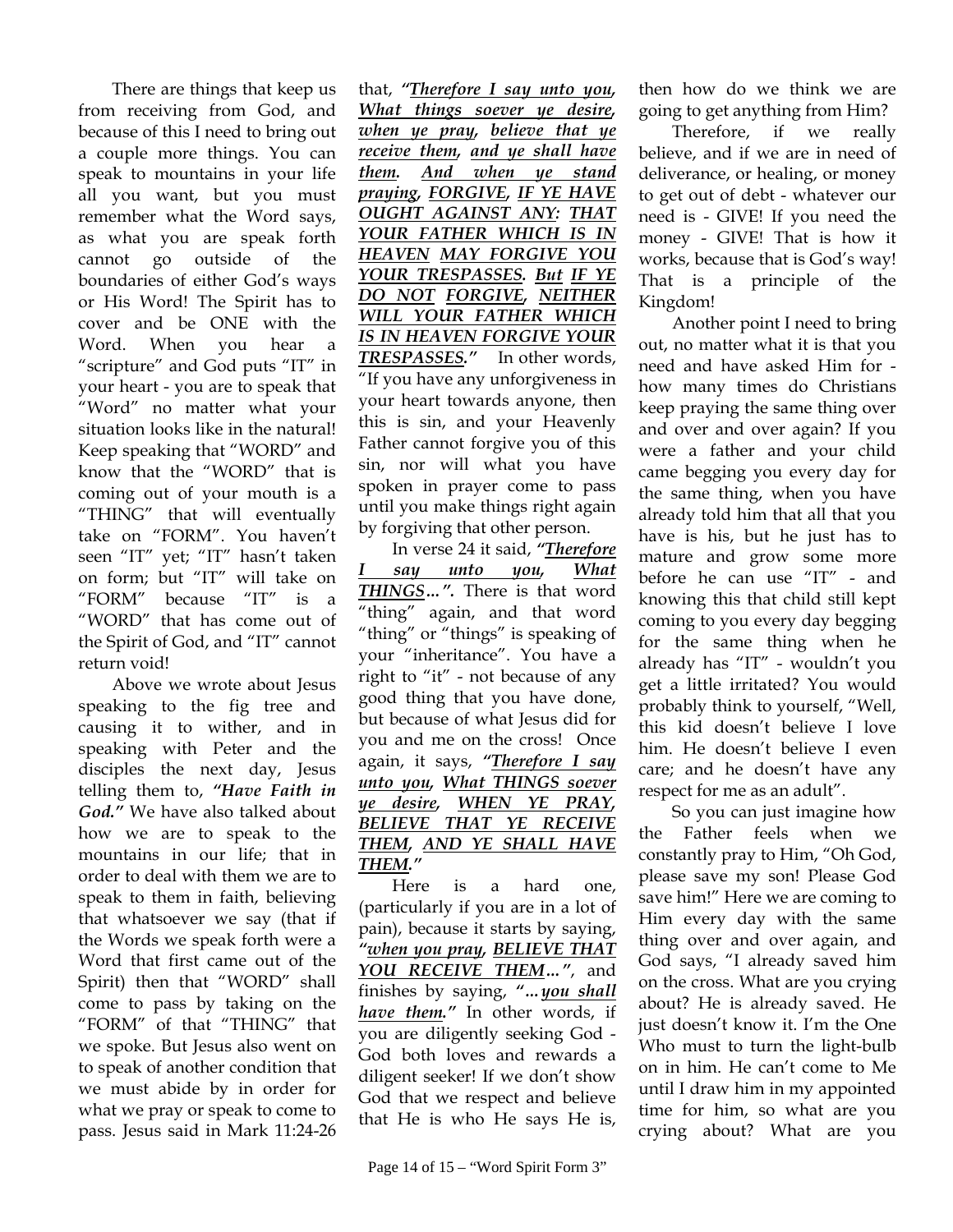There are things that keep us from receiving from God, and because of this I need to bring out a couple more things. You can speak to mountains in your life all you want, but you must remember what the Word says, as what you are speak forth cannot go outside of the boundaries of either God's ways or His Word! The Spirit has to cover and be ONE with the Word. When you hear a "scripture" and God puts "IT" in your heart - you are to speak that "Word" no matter what your situation looks like in the natural! Keep speaking that "WORD" and know that the "WORD" that is coming out of your mouth is a "THING" that will eventually take on "FORM". You haven't seen "IT" yet; "IT" hasn't taken on form; but "IT" will take on "FORM" because "IT" is a "WORD" that has come out of the Spirit of God, and "IT" cannot return void!

Above we wrote about Jesus speaking to the fig tree and causing it to wither, and in speaking with Peter and the disciples the next day, Jesus telling them to, *"Have Faith in God."* We have also talked about how we are to speak to the mountains in our life; that in order to deal with them we are to speak to them in faith, believing that whatsoever we say (that if the Words we speak forth were a Word that first came out of the Spirit) then that "WORD" shall come to pass by taking on the "FORM" of that "THING" that we spoke. But Jesus also went on to speak of another condition that we must abide by in order for what we pray or speak to come to pass. Jesus said in Mark 11:24-26

that, *"Therefore I say unto you, What things soever ye desire, when ye pray, believe that ye receive them, and ye shall have them. And when ye stand praying, FORGIVE, IF YE HAVE OUGHT AGAINST ANY: THAT YOUR FATHER WHICH IS IN HEAVEN MAY FORGIVE YOU YOUR TRESPASSES. But IF YE DO NOT FORGIVE, NEITHER WILL YOUR FATHER WHICH IS IN HEAVEN FORGIVE YOUR TRESPASSES."* In other words, "If you have any unforgiveness in your heart towards anyone, then this is sin, and your Heavenly Father cannot forgive you of this sin, nor will what you have spoken in prayer come to pass until you make things right again by forgiving that other person.

In verse 24 it said, *"Therefore I say unto you, What THINGS…".* There is that word "thing" again, and that word "thing" or "things" is speaking of your "inheritance". You have a right to "it" - not because of any good thing that you have done, but because of what Jesus did for you and me on the cross! Once again, it says, *"Therefore I say unto you, What THINGS soever ye desire, WHEN YE PRAY, BELIEVE THAT YE RECEIVE THEM, AND YE SHALL HAVE THEM."*

Here is a hard one, (particularly if you are in a lot of pain), because it starts by saying, *"when you pray, BELIEVE THAT YOU RECEIVE THEM…"*, and finishes by saying, *"…you shall have them."* In other words, if you are diligently seeking God - God both loves and rewards a diligent seeker! If we don't show God that we respect and believe that He is who He says He is,

then how do we think we are going to get anything from Him?

Therefore, if we really believe, and if we are in need of deliverance, or healing, or money to get out of debt - whatever our need is - GIVE! If you need the money - GIVE! That is how it works, because that is God's way! That is a principle of the Kingdom!

Another point I need to bring out, no matter what it is that you need and have asked Him for how many times do Christians keep praying the same thing over and over and over again? If you were a father and your child came begging you every day for the same thing, when you have already told him that all that you have is his, but he just has to mature and grow some more before he can use "IT" - and knowing this that child still kept coming to you every day begging for the same thing when he already has "IT" - wouldn't you get a little irritated? You would probably think to yourself, "Well, this kid doesn't believe I love him. He doesn't believe I even care; and he doesn't have any respect for me as an adult".

So you can just imagine how the Father feels when we constantly pray to Him, "Oh God, please save my son! Please God save him!" Here we are coming to Him every day with the same thing over and over again, and God says, "I already saved him on the cross. What are you crying about? He is already saved. He just doesn't know it. I'm the One Who must to turn the light-bulb on in him. He can't come to Me until I draw him in my appointed time for him, so what are you crying about? What are you